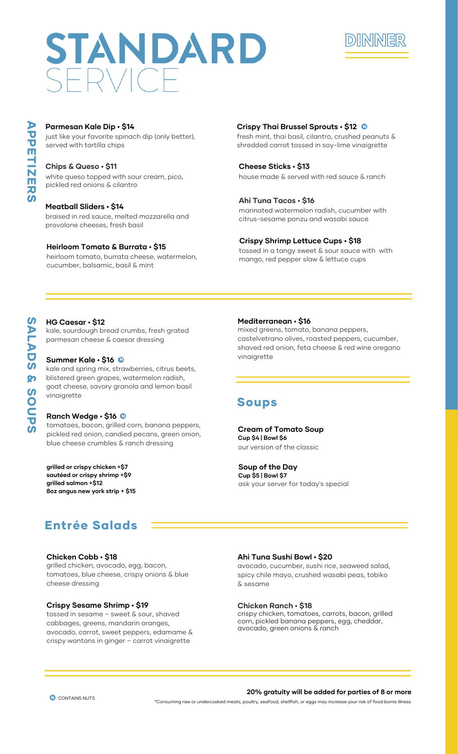# STANDARD



A  $\overline{\mathbf{U}}$  $\overline{\mathbf{U}}$  $\overline{\mathbf{E}}$  $\frac{1}{N}$  $\overline{\mathbf{E}}$ **R**  $\boldsymbol{\omega}$ 

# **Parmesan Kale Dip • \$14**

just like your favorite spinach dip (only better), served with tortilla chips

# **Chips & Queso • \$11**

white queso topped with sour cream, pico, pickled red onions & cilantro

braised in red sauce, melted mozzarella and provolone cheeses, fresh basil

# **Heirloom Tomato & Burrata • \$15**

heirloom tomato, burrata cheese, watermelon, cucumber, balsamic, basil & mint

# **Crispy Thai Brussel Sprouts • \$12** • N

fresh mint, thai basil, cilantro, crushed peanuts & shredded carrot tossed in soy-lime vinaigrette

# **Cheese Sticks • \$13**

house made & served with red sauce & ranch

# **Ahi Tuna Tacos • \$16**

**Meatball Sliders • \$14** marinated watermelon radish, cucumber with citrus-sesame ponzu and wasabi sauce

# **Crispy Shrimp Lettuce Cups • \$18**

tossed in a tangy sweet & sour sauce with with mango, red pepper slaw & lettuce cups

# **HG Caesar • \$12**

kale, sourdough bread crumbs, fresh grated parmesan cheese & caesar dressing

# **Summer Kale • \$16** • N

kale and spring mix, strawberries, citrus beets, blistered green grapes, watermelon radish, goat cheese, savory granola and lemon basil vinaigrette

# **Ranch Wedge • \$16** N

**Ranch Wedge • \$16 ®**<br>tomatoes, bacon, grilled corn, banana peppers, pickled red onion, candied pecans, green onion, blue cheese crumbles & ranch dressing

**grilled or crispy chicken +\$7 sautéed or crispy shrimp +\$9 grilled salmon +\$12 8oz angus new york strip + \$15**

# **Mediterranean • \$16**

mixed greens, tomato, banana peppers, castelvetrano olives, roasted peppers, cucumber, shaved red onion, feta cheese & red wine oregano vinaigrette

# Soups

## our version of the classic **Cream of Tomato Soup Cup \$4 | Bowl \$6**

ask your server for today's special **Soup of the Day Cup \$5 | Bowl \$7**

# Entrée Salads

# **Chicken Cobb • \$18**

grilled chicken, avocado, egg, bacon, tomatoes, blue cheese, crispy onions & blue cheese dressing

# **Crispy Sesame Shrimp • \$19**

tossed in sesame – sweet & sour, shaved cabbages, greens, mandarin oranges, avocado, carrot, sweet peppers, edamame & crispy wontons in ginger – carrot vinaigrette

# **Ahi Tuna Sushi Bowl • \$20**

avocado, cucumber, sushi rice, seaweed salad, spicy chile mayo, crushed wasabi peas, tobiko & sesame

# **Chicken Ranch • \$18**

crispy chicken, tomatoes, carrots, bacon, grilled corn, pickled banana peppers, egg, cheddar, avocado, green onions & ranch

# **CONTAINS NUTS** N

## **20% gratuity will be added for parties of 8 or more**

\*Consuming raw or undercooked meats, poultry, seafood, shellfish, or eggs may increase your risk of food borne illness

M